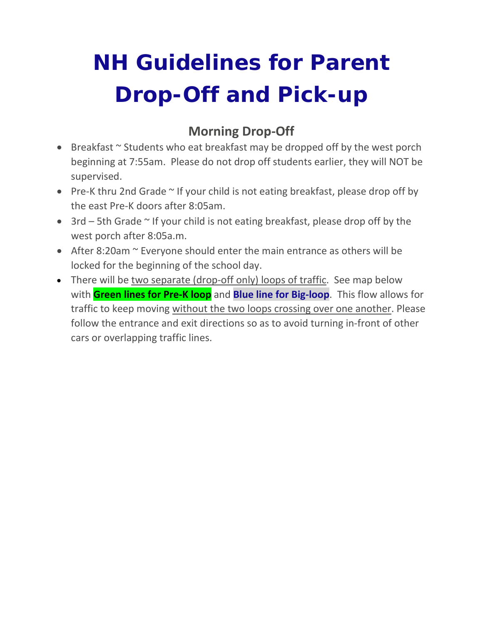# **NH Guidelines for Parent Drop-Off and Pick-up**

### **Morning Drop-Off**

- Breakfast ~ Students who eat breakfast may be dropped off by the west porch beginning at 7:55am. Please do not drop off students earlier, they will NOT be supervised.
- Pre-K thru 2nd Grade ~ If your child is not eating breakfast, please drop off by the east Pre-K doors after 8:05am.
- 3rd 5th Grade ~ If your child is not eating breakfast, please drop off by the west porch after 8:05a.m.
- After 8:20am  $\sim$  Everyone should enter the main entrance as others will be locked for the beginning of the school day.
- There will be two separate (drop-off only) loops of traffic. See map below with **Green lines for Pre-K loop** and **Blue line for Big-loop**. This flow allows for traffic to keep moving without the two loops crossing over one another. Please follow the entrance and exit directions so as to avoid turning in-front of other cars or overlapping traffic lines.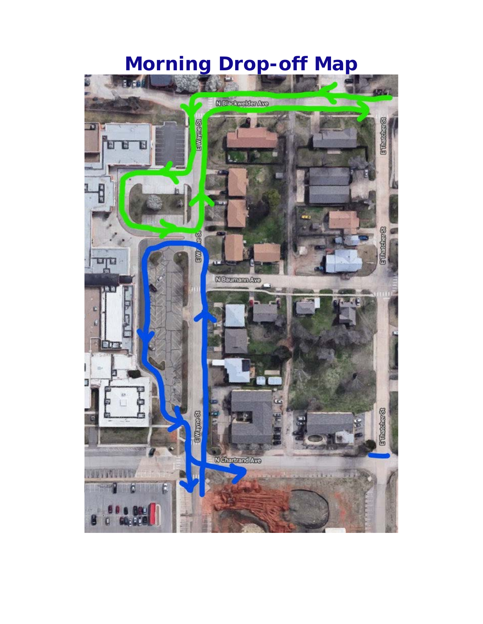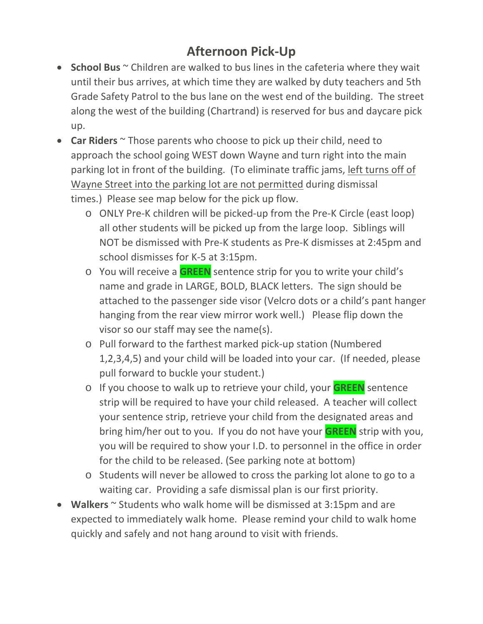### **Afternoon Pick-Up**

- **School Bus** ~ Children are walked to bus lines in the cafeteria where they wait until their bus arrives, at which time they are walked by duty teachers and 5th Grade Safety Patrol to the bus lane on the west end of the building. The street along the west of the building (Chartrand) is reserved for bus and daycare pick up.
- **Car Riders** ~ Those parents who choose to pick up their child, need to approach the school going WEST down Wayne and turn right into the main parking lot in front of the building. (To eliminate traffic jams, left turns off of Wayne Street into the parking lot are not permitted during dismissal times.) Please see map below for the pick up flow.
	- o ONLY Pre-K children will be picked-up from the Pre-K Circle (east loop) all other students will be picked up from the large loop. Siblings will NOT be dismissed with Pre-K students as Pre-K dismisses at 2:45pm and school dismisses for K-5 at 3:15pm.
	- o You will receive a **GREEN** sentence strip for you to write your child's name and grade in LARGE, BOLD, BLACK letters. The sign should be attached to the passenger side visor (Velcro dots or a child's pant hanger hanging from the rear view mirror work well.) Please flip down the visor so our staff may see the name(s).
	- o Pull forward to the farthest marked pick-up station (Numbered 1,2,3,4,5) and your child will be loaded into your car. (If needed, please pull forward to buckle your student.)
	- o If you choose to walk up to retrieve your child, your **GREEN** sentence strip will be required to have your child released. A teacher will collect your sentence strip, retrieve your child from the designated areas and bring him/her out to you. If you do not have your **GREEN** strip with you, you will be required to show your I.D. to personnel in the office in order for the child to be released. (See parking note at bottom)
	- o Students will never be allowed to cross the parking lot alone to go to a waiting car. Providing a safe dismissal plan is our first priority.
- **Walkers** ~ Students who walk home will be dismissed at 3:15pm and are expected to immediately walk home. Please remind your child to walk home quickly and safely and not hang around to visit with friends.